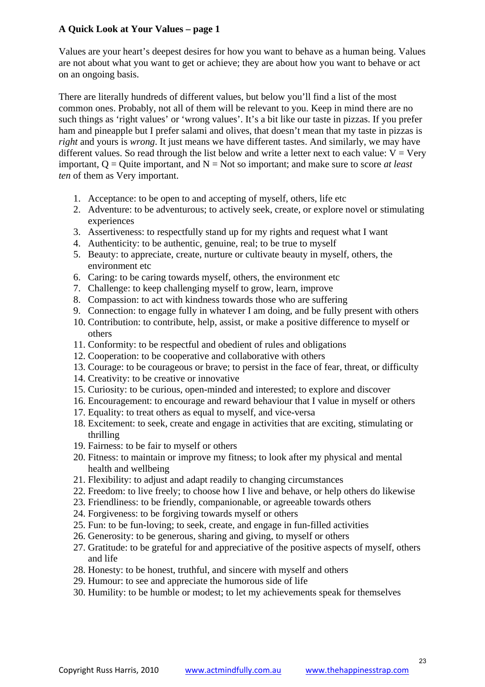## **A Quick Look at Your Values – page 1**

Values are your heart's deepest desires for how you want to behave as a human being. Values are not about what you want to get or achieve; they are about how you want to behave or act on an ongoing basis.

There are literally hundreds of different values, but below you'll find a list of the most common ones. Probably, not all of them will be relevant to you. Keep in mind there are no such things as 'right values' or 'wrong values'. It's a bit like our taste in pizzas. If you prefer ham and pineapple but I prefer salami and olives, that doesn't mean that my taste in pizzas is *right* and yours is *wrong*. It just means we have different tastes. And similarly, we may have different values. So read through the list below and write a letter next to each value:  $V = V$ ery important,  $Q =$  Quite important, and  $N =$  Not so important; and make sure to score *at least ten* of them as Very important.

- 1. Acceptance: to be open to and accepting of myself, others, life etc
- 2. Adventure: to be adventurous; to actively seek, create, or explore novel or stimulating experiences
- 3. Assertiveness: to respectfully stand up for my rights and request what I want
- 4. Authenticity: to be authentic, genuine, real; to be true to myself
- 5. Beauty: to appreciate, create, nurture or cultivate beauty in myself, others, the environment etc
- 6. Caring: to be caring towards myself, others, the environment etc
- 7. Challenge: to keep challenging myself to grow, learn, improve
- 8. Compassion: to act with kindness towards those who are suffering
- 9. Connection: to engage fully in whatever I am doing, and be fully present with others
- 10. Contribution: to contribute, help, assist, or make a positive difference to myself or others
- 11. Conformity: to be respectful and obedient of rules and obligations
- 12. Cooperation: to be cooperative and collaborative with others
- 13. Courage: to be courageous or brave; to persist in the face of fear, threat, or difficulty
- 14. Creativity: to be creative or innovative
- 15. Curiosity: to be curious, open-minded and interested; to explore and discover
- 16. Encouragement: to encourage and reward behaviour that I value in myself or others
- 17. Equality: to treat others as equal to myself, and vice-versa
- 18. Excitement: to seek, create and engage in activities that are exciting, stimulating or thrilling
- 19. Fairness: to be fair to myself or others
- 20. Fitness: to maintain or improve my fitness; to look after my physical and mental health and wellbeing
- 21. Flexibility: to adjust and adapt readily to changing circumstances
- 22. Freedom: to live freely; to choose how I live and behave, or help others do likewise
- 23. Friendliness: to be friendly, companionable, or agreeable towards others
- 24. Forgiveness: to be forgiving towards myself or others
- 25. Fun: to be fun-loving; to seek, create, and engage in fun-filled activities
- 26. Generosity: to be generous, sharing and giving, to myself or others
- 27. Gratitude: to be grateful for and appreciative of the positive aspects of myself, others and life
- 28. Honesty: to be honest, truthful, and sincere with myself and others
- 29. Humour: to see and appreciate the humorous side of life
- 30. Humility: to be humble or modest; to let my achievements speak for themselves